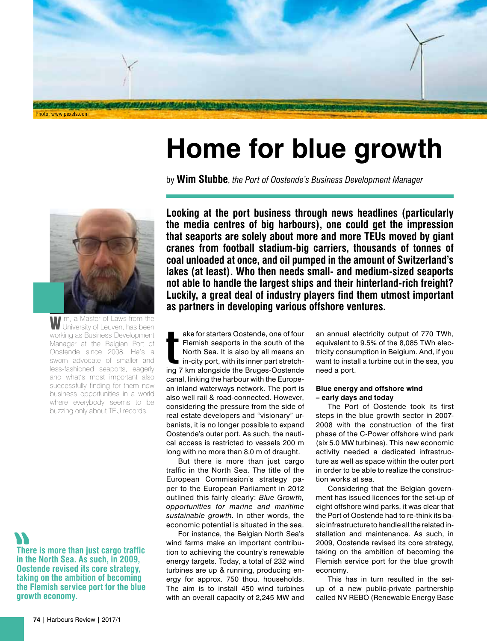

# **Home for blue growth**

by **Wim Stubbe**, *the Port of Oostende's Business Development Manager*



I'm, a Master of Laws from the University of Leuven, has been working as Business Development Manager at the Belgian Port of Oostende since 2008. He's a sworn advocate of smaller and less-fashioned seaports, eagerly and what's most important also successfully finding for them new business opportunities in a world where everybody seems to be buzzing only about TEU records.

**There is more than just cargo traffic in the North Sea. As such, in 2009, Oostende revised its core strategy, taking on the ambition of becoming the Flemish service port for the blue growth economy.**

**Looking at the port business through news headlines (particularly the media centres of big harbours), one could get the impression that seaports are solely about more and more TEUs moved by giant cranes from football stadium-big carriers, thousands of tonnes of coal unloaded at once, and oil pumped in the amount of Switzerland's lakes (at least). Who then needs small- and medium-sized seaports not able to handle the largest ships and their hinterland-rich freight? Luckily, a great deal of industry players find them utmost important as partners in developing various offshore ventures.**

T ake for starters Oostende, one of four Flemish seaports in the south of the North Sea. It is also by all means an in-city port, with its inner part stretching 7 km alongside the Bruges-Oostende canal, linking the harbour with the European inland waterways network. The port is also well rail & road-connected. However, considering the pressure from the side of real estate developers and "visionary" urbanists, it is no longer possible to expand Oostende's outer port. As such, the nautical access is restricted to vessels 200 m long with no more than 8.0 m of draught.

But there is more than just cargo traffic in the North Sea. The title of the European Commission's strategy paper to the European Parliament in 2012 outlined this fairly clearly: *Blue Growth, opportunities for marine and maritime sustainable growth*. In other words, the economic potential is situated in the sea.

For instance, the Belgian North Sea's wind farms make an important contribution to achieving the country's renewable energy targets. Today, a total of 232 wind turbines are up & running, producing energy for approx. 750 thou. households. The aim is to install 450 wind turbines with an overall capacity of 2,245 MW and

an annual electricity output of 770 TWh, equivalent to 9.5% of the 8,085 TWh electricity consumption in Belgium. And, if you want to install a turbine out in the sea, you need a port.

## **Blue energy and offshore wind – early days and today**

The Port of Oostende took its first steps in the blue growth sector in 2007- 2008 with the construction of the first phase of the C-Power offshore wind park (six 5.0 MW turbines). This new economic activity needed a dedicated infrastructure as well as space within the outer port in order to be able to realize the construction works at sea.

Considering that the Belgian government has issued licences for the set-up of eight offshore wind parks, it was clear that the Port of Oostende had to re-think its basic infrastructure to handle all the related installation and maintenance. As such, in 2009, Oostende revised its core strategy, taking on the ambition of becoming the Flemish service port for the blue growth economy.

This has in turn resulted in the setup of a new public-private partnership called NV REBO (Renewable Energy Base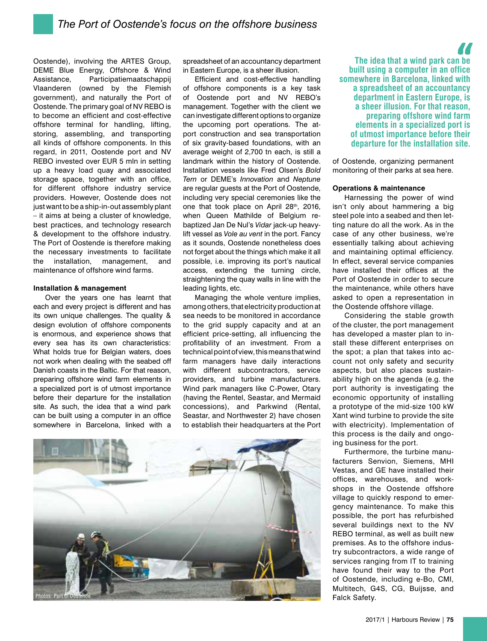Oostende), involving the ARTES Group, DEME Blue Energy, Offshore & Wind Assistance, Participatiemaatschappij Vlaanderen (owned by the Flemish government), and naturally the Port of Oostende. The primary goal of NV REBO is to become an efficient and cost-effective offshore terminal for handling, lifting, storing, assembling, and transporting all kinds of offshore components. In this regard, in 2011, Oostende port and NV REBO invested over EUR 5 mln in setting up a heavy load quay and associated storage space, together with an office, for different offshore industry service providers. However, Oostende does not just want to be a ship-in-out assembly plant – it aims at being a cluster of knowledge, best practices, and technology research & development to the offshore industry. The Port of Oostende is therefore making the necessary investments to facilitate the installation, management, and maintenance of offshore wind farms.

### **Installation & management**

Over the years one has learnt that each and every project is different and has its own unique challenges. The quality & design evolution of offshore components is enormous, and experience shows that every sea has its own characteristics: What holds true for Belgian waters, does not work when dealing with the seabed off Danish coasts in the Baltic. For that reason, preparing offshore wind farm elements in a specialized port is of utmost importance before their departure for the installation site. As such, the idea that a wind park can be built using a computer in an office somewhere in Barcelona, linked with a spreadsheet of an accountancy department in Eastern Europe, is a sheer illusion.

Efficient and cost-effective handling of offshore components is a key task of Oostende port and NV REBO's management. Together with the client we can investigate different options to organize the upcoming port operations. The atport construction and sea transportation of six gravity-based foundations, with an average weight of 2,700 tn each, is still a landmark within the history of Oostende. Installation vessels like Fred Olsen's *Bold Tern* or DEME's *Innovation* and *Neptune* are regular guests at the Port of Oostende, including very special ceremonies like the one that took place on April 28th, 2016, when Queen Mathilde of Belgium rebaptized Jan De Nul's *Vidar* jack-up heavylift vessel as *Vole au vent* in the port. Fancy as it sounds, Oostende nonetheless does not forget about the things which make it all possible, i.e. improving its port's nautical access, extending the turning circle, straightening the quay walls in line with the leading lights, etc.

Managing the whole venture implies, among others, that electricity production at sea needs to be monitored in accordance to the grid supply capacity and at an efficient price-setting, all influencing the profitability of an investment. From a technical point of view, this means that wind farm managers have daily interactions with different subcontractors, service providers, and turbine manufacturers. Wind park managers like C-Power, Otary (having the Rentel, Seastar, and Mermaid concessions), and Parkwind (Rental, Seastar, and Northwester 2) have chosen to establish their headquarters at the Port



**The idea that a wind park can be built using a computer in an office somewhere in Barcelona, linked with a spreadsheet of an accountancy department in Eastern Europe, is a sheer illusion. For that reason, preparing offshore wind farm elements in a specialized port is of utmost importance before their departure for the installation site.**

of Oostende, organizing permanent monitoring of their parks at sea here.

#### **Operations & maintenance**

Harnessing the power of wind isn't only about hammering a big steel pole into a seabed and then letting nature do all the work. As in the case of any other business, we're essentially talking about achieving and maintaining optimal efficiency. In effect, several service companies have installed their offices at the Port of Oostende in order to secure the maintenance, while others have asked to open a representation in the Oostende offshore village.

Considering the stable growth of the cluster, the port management has developed a master plan to install these different enterprises on the spot; a plan that takes into account not only safety and security aspects, but also places sustainability high on the agenda (e.g. the port authority is investigating the economic opportunity of installing a prototype of the mid-size 100 kW Xant wind turbine to provide the site with electricity). Implementation of this process is the daily and ongoing business for the port.

Furthermore, the turbine manufacturers Senvion, Siemens, MHI Vestas, and GE have installed their offices, warehouses, and workshops in the Oostende offshore village to quickly respond to emergency maintenance. To make this possible, the port has refurbished several buildings next to the NV REBO terminal, as well as built new premises. As to the offshore industry subcontractors, a wide range of services ranging from IT to training have found their way to the Port of Oostende, including e-Bo, CMI, Multitech, G4S, CG, Buijsse, and Falck Safety.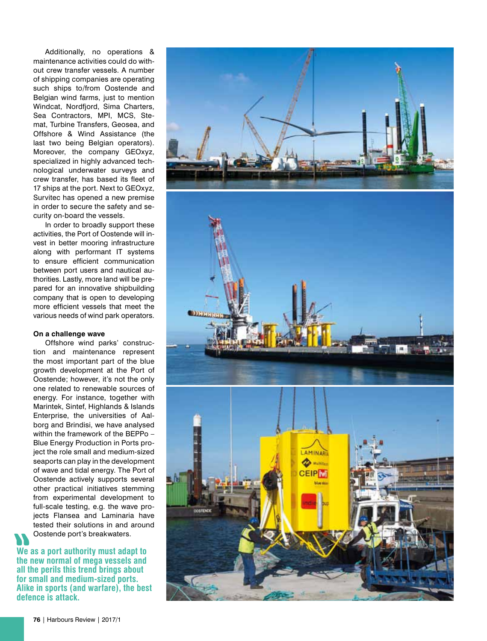Additionally, no operations & maintenance activities could do without crew transfer vessels. A number of shipping companies are operating such ships to/from Oostende and Belgian wind farms, just to mention Windcat, Nordfjord, Sima Charters, Sea Contractors, MPI, MCS, Stemat, Turbine Transfers, Geosea, and Offshore & Wind Assistance (the last two being Belgian operators). Moreover, the company GEOxyz, specialized in highly advanced technological underwater surveys and crew transfer, has based its fleet of 17 ships at the port. Next to GEOxyz, Survitec has opened a new premise in order to secure the safety and security on-board the vessels.

In order to broadly support these activities, the Port of Oostende will invest in better mooring infrastructure along with performant IT systems to ensure efficient communication between port users and nautical authorities. Lastly, more land will be prepared for an innovative shipbuilding company that is open to developing more efficient vessels that meet the various needs of wind park operators.

## **On a challenge wave**

Offshore wind parks' construction and maintenance represent the most important part of the blue growth development at the Port of Oostende; however, it's not the only one related to renewable sources of energy. For instance, together with Marintek, Sintef, Highlands & Islands Enterprise, the universities of Aalborg and Brindisi, we have analysed within the framework of the BEPPo – Blue Energy Production in Ports project the role small and medium-sized seaports can play in the development of wave and tidal energy. The Port of Oostende actively supports several other practical initiatives stemming from experimental development to full-scale testing, e.g. the wave projects Flansea and Laminaria have tested their solutions in and around Oostende port's breakwaters.

**We as a port authority must adapt to the new normal of mega vessels and all the perils this trend brings about for small and medium-sized ports. Alike in sports (and warfare), the best defence is attack.**